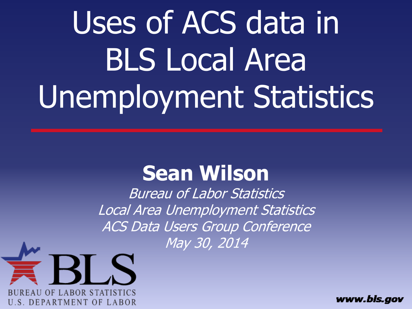# Uses of ACS data in BLS Local Area Unemployment Statistics

#### **Sean Wilson**

Bureau of Labor Statistics Local Area Unemployment Statistics ACS Data Users Group Conference May 30, 2014



www.bls.gov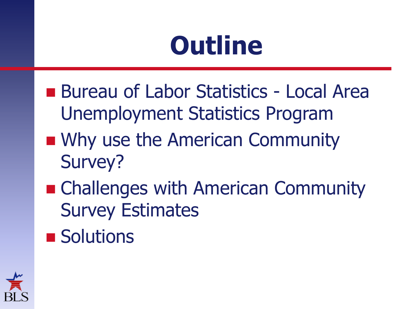#### **Outline**

- Bureau of Labor Statistics Local Area Unemployment Statistics Program
- **No. 19 IV MS** USE the American Community Survey?
- Challenges with American Community Survey Estimates
- **Solutions**

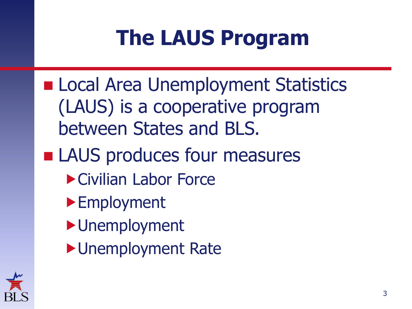#### **The LAUS Program**

**ELocal Area Unemployment Statistics** (LAUS) is a cooperative program between States and BLS. **LAUS produces four measures** Civilian Labor Force ▶**Employment** Unemployment ▶ Unemployment Rate

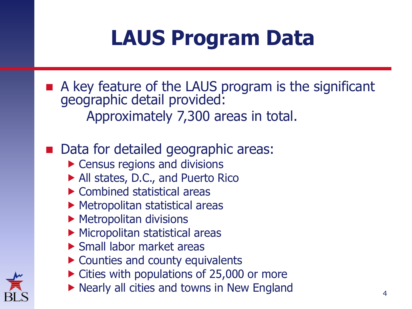#### **LAUS Program Data**

A key feature of the LAUS program is the significant geographic detail provided: Approximately 7,300 areas in total.

#### ■ Data for detailed geographic areas:

- **Census regions and divisions**
- All states, D.C., and Puerto Rico
- ▶ Combined statistical areas
- Metropolitan statistical areas
- $\blacktriangleright$  Metropolitan divisions
- **Micropolitan statistical areas**
- ▶ Small labor market areas
- ▶ Counties and county equivalents
- ▶ Cities with populations of 25,000 or more
- $\blacktriangleright$  Nearly all cities and towns in New England  $4\overline{4}$

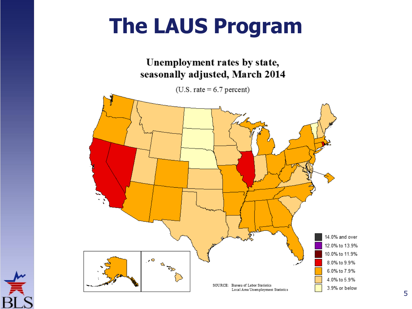#### **The LAUS Program**



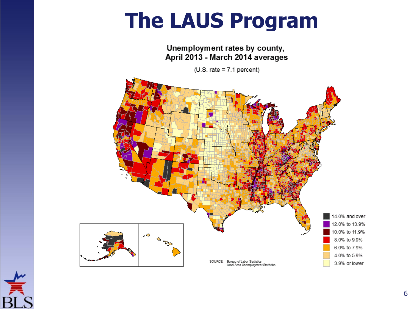#### **The LAUS Program**

Unemployment rates by county, April 2013 - March 2014 averages

 $(U.S. rate = 7.1 percent)$ 



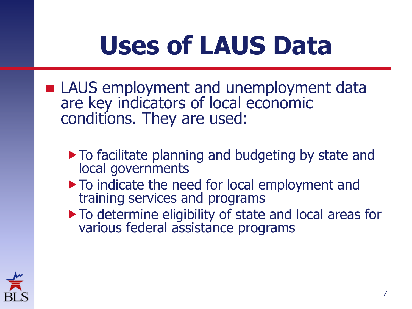#### **Uses of LAUS Data**

- **LAUS** employment and unemployment data are key indicators of local economic conditions. They are used:
	- $\triangleright$  To facilitate planning and budgeting by state and local governments
	- $\blacktriangleright$  To indicate the need for local employment and training services and programs
	- $\blacktriangleright$  To determine eligibility of state and local areas for various federal assistance programs

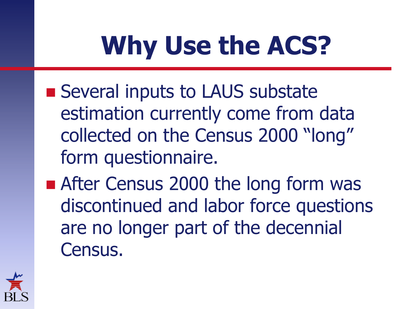- Several inputs to LAUS substate estimation currently come from data collected on the Census 2000 "long" form questionnaire.
- After Census 2000 the long form was discontinued and labor force questions are no longer part of the decennial Census.

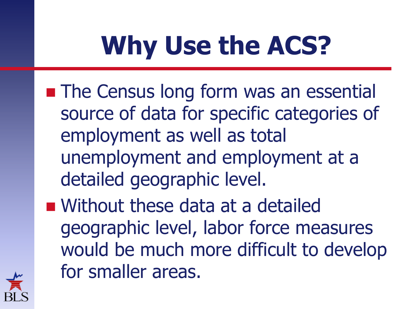- **The Census long form was an essential** source of data for specific categories of employment as well as total unemployment and employment at a detailed geographic level.
- Without these data at a detailed geographic level, labor force measures would be much more difficult to develop for smaller areas.

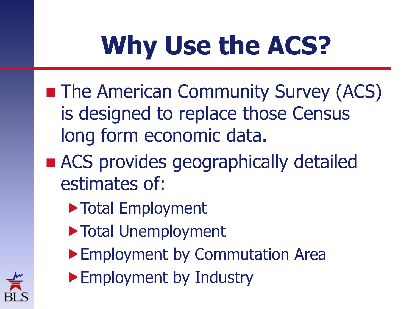- **The American Community Survey (ACS)** is designed to replace those Census long form economic data.
- ACS provides geographically detailed estimates of:
	- Total Employment
	- Total Unemployment
	- Employment by Commutation Area
	- ▶ Employment by Industry

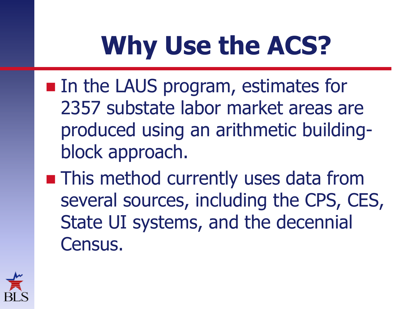- **In the LAUS program, estimates for** 2357 substate labor market areas are produced using an arithmetic buildingblock approach.
- **This method currently uses data from** several sources, including the CPS, CES, State UI systems, and the decennial Census.

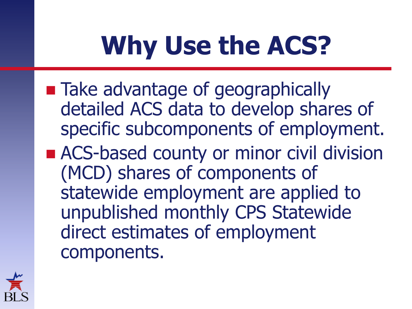- Take advantage of geographically detailed ACS data to develop shares of specific subcomponents of employment.
- ACS-based county or minor civil division (MCD) shares of components of statewide employment are applied to unpublished monthly CPS Statewide direct estimates of employment components.

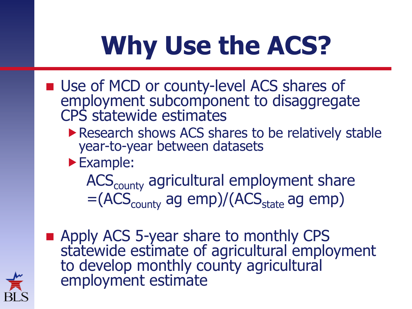- **Use of MCD or county-level ACS shares of** employment subcomponent to disaggregate CPS statewide estimates
	- Research shows ACS shares to be relatively stable year-to-year between datasets
	- Example:

ACS<sub>county</sub> agricultural employment share  $=(ACS_{\text{county}}$  ag emp)/( $ACS_{\text{state}}$  ag emp)

**Apply ACS 5-year share to monthly CPS** statewide estimate of agricultural employment to develop monthly county agricultural employment estimate

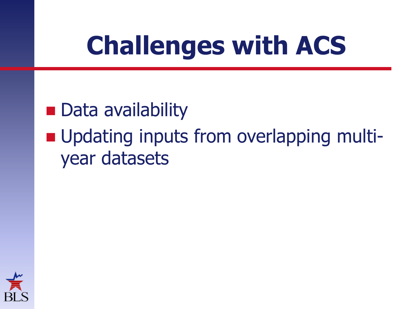#### **Challenges with ACS**

- **Data availability**
- **Updating inputs from overlapping multi**year datasets

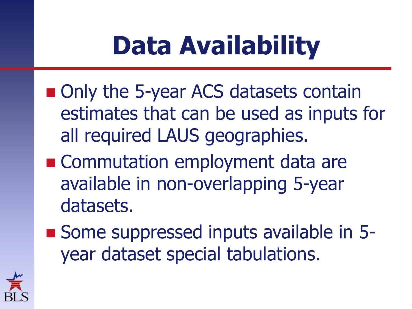#### **Data Availability**

- Only the 5-year ACS datasets contain estimates that can be used as inputs for all required LAUS geographies.
- Commutation employment data are available in non-overlapping 5-year datasets.
- Some suppressed inputs available in 5year dataset special tabulations.

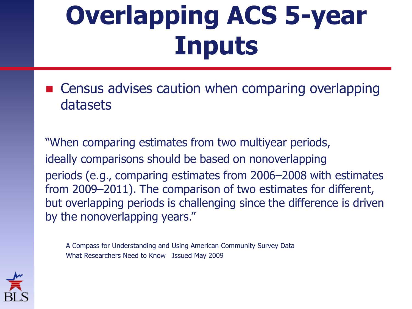### **Overlapping ACS 5-year Inputs**

■ Census advises caution when comparing overlapping datasets

"When comparing estimates from two multiyear periods, ideally comparisons should be based on nonoverlapping periods (e.g., comparing estimates from 2006–2008 with estimates from 2009–2011). The comparison of two estimates for different, but overlapping periods is challenging since the difference is driven by the nonoverlapping years."

A Compass for Understanding and Using American Community Survey Data What Researchers Need to Know Issued May 2009

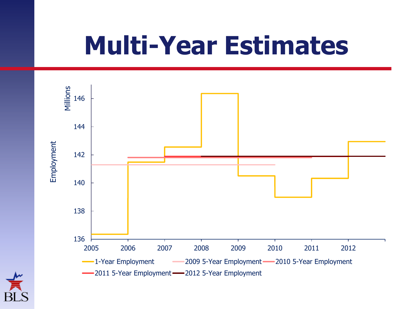#### **Multi-Year Estimates**

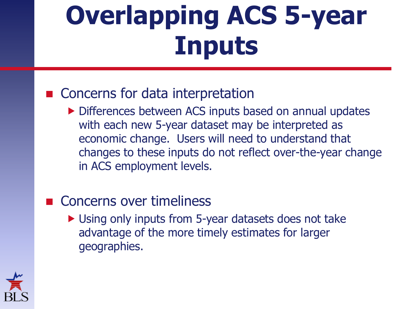### **Overlapping ACS 5-year Inputs**

#### ■ Concerns for data interpretation

Differences between ACS inputs based on annual updates with each new 5-year dataset may be interpreted as economic change. Users will need to understand that changes to these inputs do not reflect over-the-year change in ACS employment levels.

#### Concerns over timeliness

▶ Using only inputs from 5-year datasets does not take advantage of the more timely estimates for larger geographies.

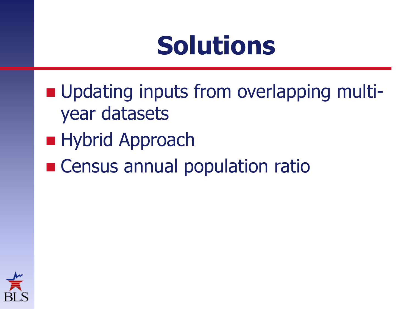#### **Solutions**

- **Updating inputs from overlapping multi**year datasets
- **Hybrid Approach**
- **Example 20 Inches** Census annual population ratio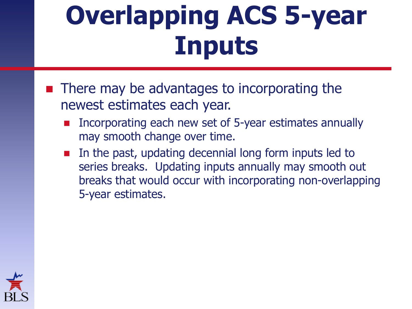#### **Overlapping ACS 5-year Inputs**

- There may be advantages to incorporating the newest estimates each year.
	- Incorporating each new set of 5-year estimates annually may smooth change over time.
	- In the past, updating decennial long form inputs led to series breaks. Updating inputs annually may smooth out breaks that would occur with incorporating non-overlapping 5-year estimates.

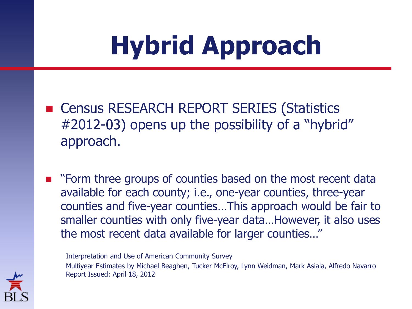## **Hybrid Approach**

- Census RESEARCH REPORT SERIES (Statistics #2012-03) opens up the possibility of a "hybrid" approach.
- **E** "Form three groups of counties based on the most recent data available for each county; i.e., one-year counties, three-year counties and five-year counties…This approach would be fair to smaller counties with only five-year data…However, it also uses the most recent data available for larger counties…"

Interpretation and Use of American Community Survey Multiyear Estimates by Michael Beaghen, Tucker McElroy, Lynn Weidman, Mark Asiala, Alfredo Navarro Report Issued: April 18, 2012

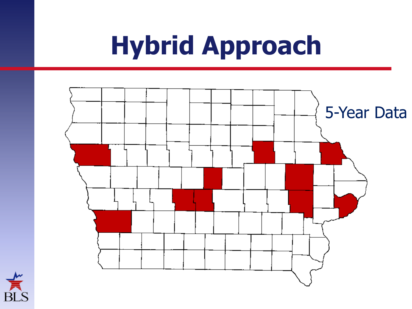#### **Hybrid Approach**



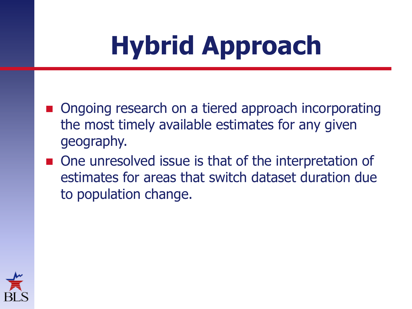## **Hybrid Approach**

- Ongoing research on a tiered approach incorporating the most timely available estimates for any given geography.
- One unresolved issue is that of the interpretation of estimates for areas that switch dataset duration due to population change.

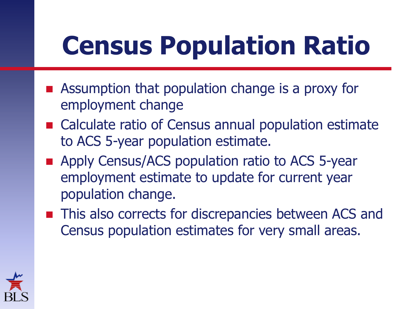### **Census Population Ratio**

- **E** Assumption that population change is a proxy for employment change
- Calculate ratio of Census annual population estimate to ACS 5-year population estimate.
- **Apply Census/ACS population ratio to ACS 5-year** employment estimate to update for current year population change.
- This also corrects for discrepancies between ACS and Census population estimates for very small areas.